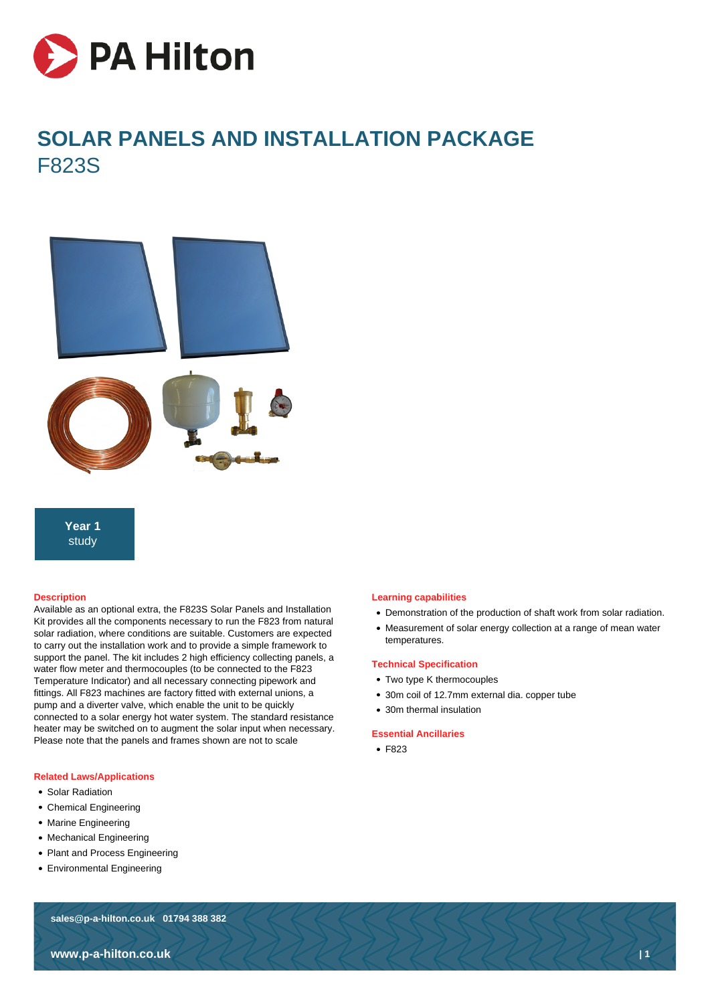

# **SOLAR PANELS AND INSTALLATION PACKAGE** F823S



**Year 1** study

#### **Description**

Available as an optional extra, the F823S Solar Panels and Installation Kit provides all the components necessary to run the F823 from natural solar radiation, where conditions are suitable. Customers are expected to carry out the installation work and to provide a simple framework to support the panel. The kit includes 2 high efficiency collecting panels, a water flow meter and thermocouples (to be connected to the F823 Temperature Indicator) and all necessary connecting pipework and fittings. All F823 machines are factory fitted with external unions, a pump and a diverter valve, which enable the unit to be quickly connected to a solar energy hot water system. The standard resistance heater may be switched on to augment the solar input when necessary. Please note that the panels and frames shown are not to scale

#### **Related Laws/Applications**

- Solar Radiation
- Chemical Engineering
- Marine Engineering
- Mechanical Engineering
- Plant and Process Engineering
- Environmental Engineering

# **sales@p-a-hilton.co.uk 01794 388 382**

### **Learning capabilities**

- Demonstration of the production of shaft work from solar radiation.
- Measurement of solar energy collection at a range of mean water temperatures.

## **Technical Specification**

- Two type K thermocouples
- 30m coil of 12.7mm external dia. copper tube
- 30m thermal insulation

#### **Essential Ancillaries**

• F823